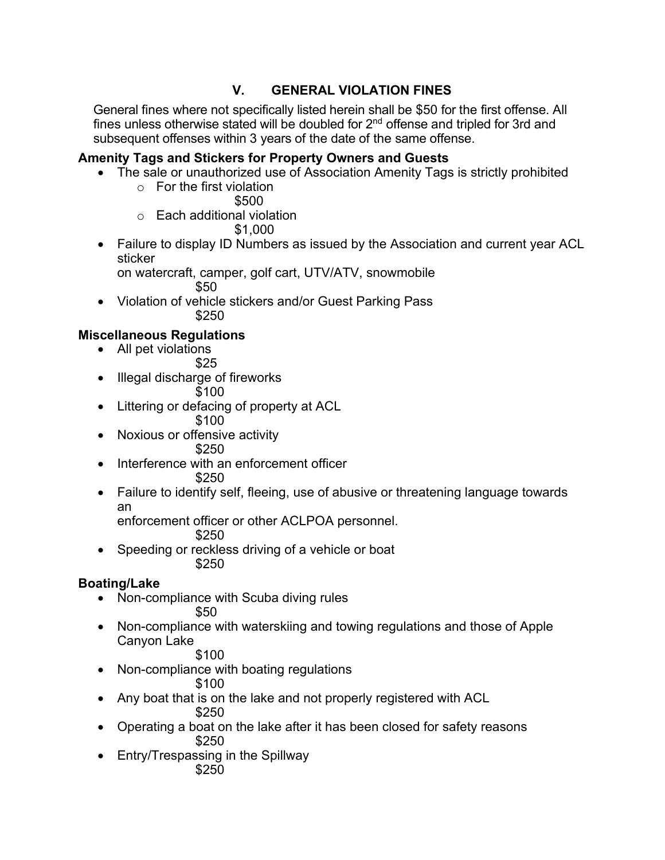# **V. GENERAL VIOLATION FINES**

General fines where not specifically listed herein shall be \$50 for the first offense. All fines unless otherwise stated will be doubled for  $2<sup>nd</sup>$  offense and tripled for 3rd and subsequent offenses within 3 years of the date of the same offense.

#### **Amenity Tags and Stickers for Property Owners and Guests**

- The sale or unauthorized use of Association Amenity Tags is strictly prohibited
	- o For the first violation \$500
	- o Each additional violation

\$1,000

• Failure to display ID Numbers as issued by the Association and current year ACL sticker

on watercraft, camper, golf cart, UTV/ATV, snowmobile \$50

• Violation of vehicle stickers and/or Guest Parking Pass \$250

# **Miscellaneous Regulations**

• All pet violations

\$25

• Illegal discharge of fireworks

$$
\overline{\$100}
$$

- Littering or defacing of property at ACL
	- \$100
- Noxious or offensive activity \$250
- Interference with an enforcement officer

\$250

• Failure to identify self, fleeing, use of abusive or threatening language towards an

enforcement officer or other ACLPOA personnel.

- \$250
- Speeding or reckless driving of a vehicle or boat \$250

## **Boating/Lake**

- Non-compliance with Scuba diving rules \$50
- Non-compliance with waterskiing and towing regulations and those of Apple Canyon Lake

## \$100

- Non-compliance with boating regulations
	- \$100
- Any boat that is on the lake and not properly registered with ACL

\$250

- Operating a boat on the lake after it has been closed for safety reasons \$250
- Entry/Trespassing in the Spillway \$250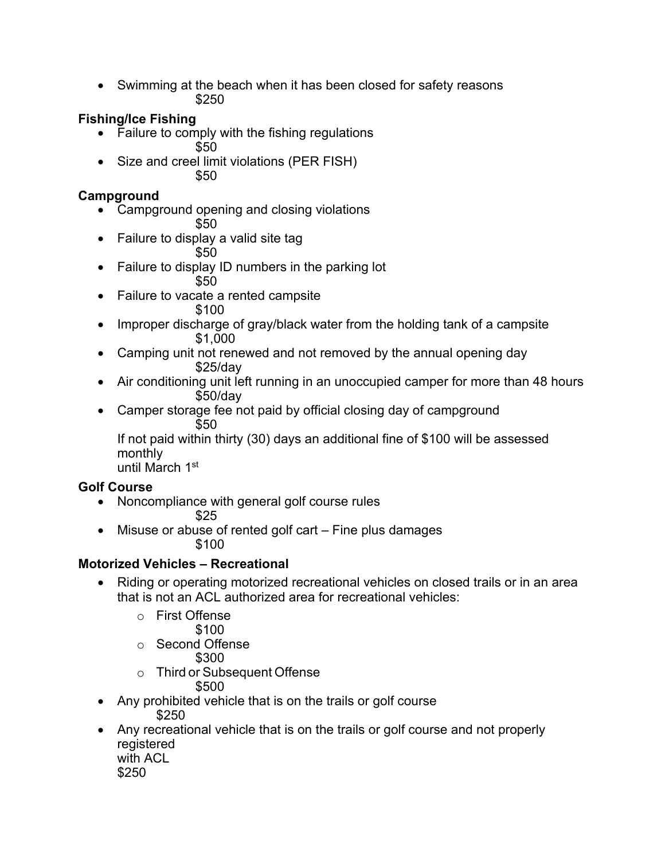• Swimming at the beach when it has been closed for safety reasons \$250

# **Fishing/Ice Fishing**

- Failure to comply with the fishing regulations \$50
- Size and creel limit violations (PER FISH) \$50

#### **Campground**

- Campground opening and closing violations
	- \$50
- Failure to display a valid site tag
	- \$50
- Failure to display ID numbers in the parking lot
	- \$50
- Failure to vacate a rented campsite \$100
- Improper discharge of gray/black water from the holding tank of a campsite \$1,000
- Camping unit not renewed and not removed by the annual opening day \$25/day
- Air conditioning unit left running in an unoccupied camper for more than 48 hours \$50/day
- Camper storage fee not paid by official closing day of campground \$50

If not paid within thirty (30) days an additional fine of \$100 will be assessed monthly

until March 1st

## **Golf Course**

• Noncompliance with general golf course rules

\$25

• Misuse or abuse of rented golf cart – Fine plus damages \$100

## **Motorized Vehicles – Recreational**

- Riding or operating motorized recreational vehicles on closed trails or in an area that is not an ACL authorized area for recreational vehicles:
	- o First Offense
		- \$100
	- o Second Offense
		- \$300
	- o Third or Subsequent Offense
		- \$500
- Any prohibited vehicle that is on the trails or golf course
	- \$250
- Any recreational vehicle that is on the trails or golf course and not properly registered with ACL **the contract of the contract of the contract of the contract of the contract of the contract of the contract of the contract of the contract of the contract of the contract of the contract of the contract of the** 
	-
	- \$250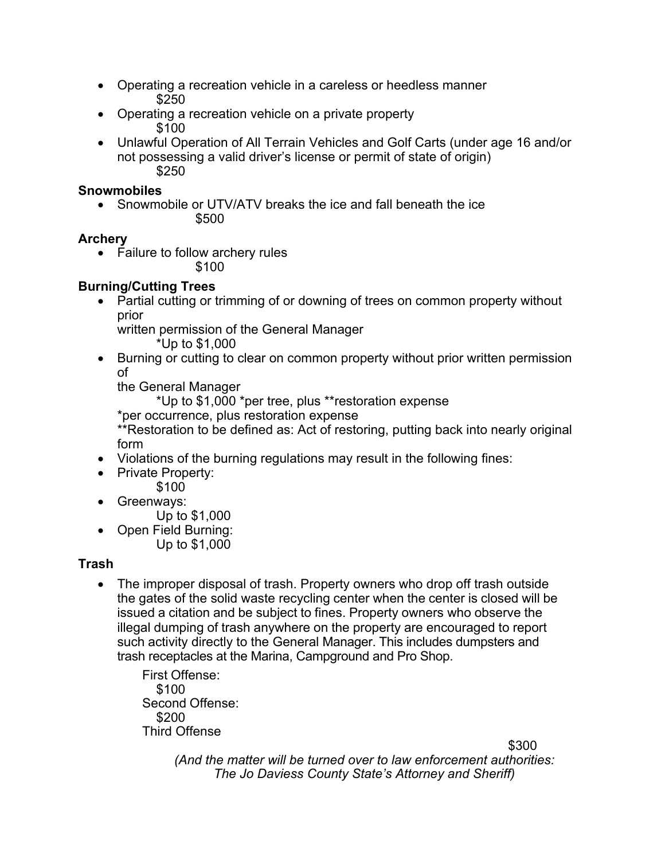- Operating a recreation vehicle in a careless or heedless manner \$250
- Operating a recreation vehicle on a private property \$100
- Unlawful Operation of All Terrain Vehicles and Golf Carts (under age 16 and/or not possessing a valid driver's license or permit of state of origin) \$250

#### **Snowmobiles**

• Snowmobile or UTV/ATV breaks the ice and fall beneath the ice \$500

#### **Archery**

- Failure to follow archery rules
	- \$100

## **Burning/Cutting Trees**

• Partial cutting or trimming of or downing of trees on common property without prior

written permission of the General Manager

\*Up to \$1,000

• Burning or cutting to clear on common property without prior written permission of

the General Manager

\*Up to \$1,000 \*per tree, plus \*\*restoration expense

\*per occurrence, plus restoration expense

\*\*Restoration to be defined as: Act of restoring, putting back into nearly original form

- Violations of the burning regulations may result in the following fines:
- Private Property:

\$100

- Greenways:
	- Up to \$1,000
- Open Field Burning: Up to \$1,000

# **Trash**

• The improper disposal of trash. Property owners who drop off trash outside the gates of the solid waste recycling center when the center is closed will be issued a citation and be subject to fines. Property owners who observe the illegal dumping of trash anywhere on the property are encouraged to report such activity directly to the General Manager. This includes dumpsters and trash receptacles at the Marina, Campground and Pro Shop.

First Offense: \$100 Second Offense: \$200 Third Offense

\$300

*(And the matter will be turned over to law enforcement authorities: The Jo Daviess County State's Attorney and Sheriff)*